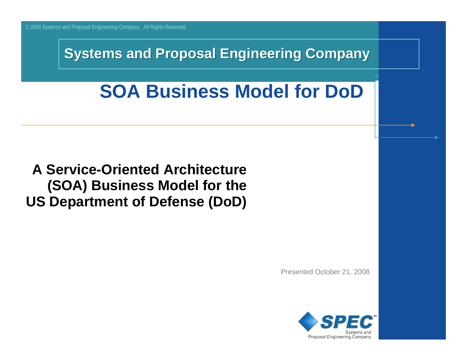#### **Systems and Proposal Engineering Company**

# **SOA Business Model for DoD**

#### **A Service-Oriented Architecture (SOA) Business Model for the US Department of Defense (DoD)**

Presented October 21, 2008

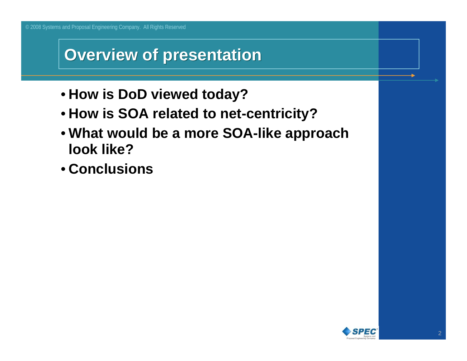### **Overview of presentation Overview of presentation**

- **How is DoD viewed today?**
- **How is SOA related to net-centricity?**
- **What would be a more SOA-like approach look like?**
- **Conclusions**

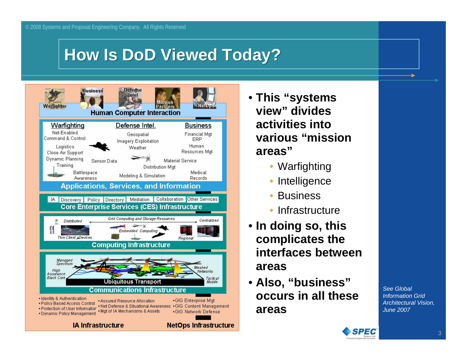## **How Is DoD Viewed Today? How Is DoD Viewed Today?**



- **This "systems view" divides activities into various "mission areas"**
	- Warfighting
	- $\bullet$ Intelligence
	- $\bullet$ **Business**
	- Infrastructure
- **In doing so, this complicates the interfaces between areas**
- **Also, "business" occurs in all these areas**

*See Global Information Grid Architectural Vision, June 2007* 

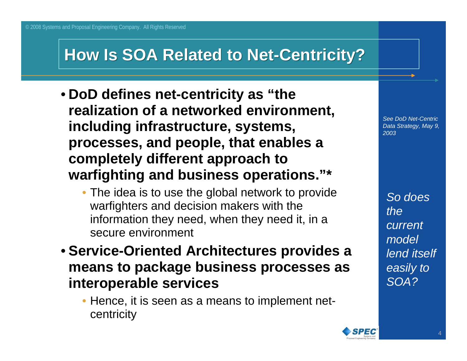## **How Is SOA Related to Net-Centricity? How Is SOA Related to Net-Centricity?**

- **DoD defines net-centricity as "the realization of a networked environment, including infrastructure, systems, processes, and people, that enables a completely different approach to warfighting and business operations."\***
	- The idea is to use the global network to provide warfighters and decision makers with the information they need, when they need it, in a secure environment
- **Service-Oriented Architectures provides a means to package business processes as interoperable services**
	- Hence, it is seen as a means to implement netcentricity

*See DoD Net-Centric Data Strategy, May 9, 2003*

*So does the current model lend itself easily to SOA?*

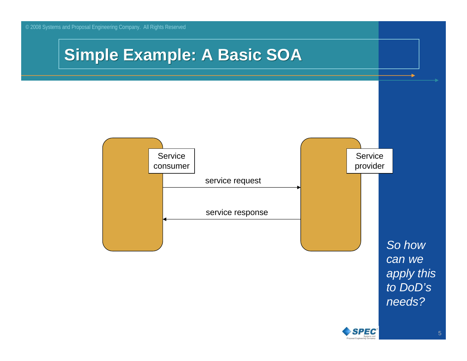





5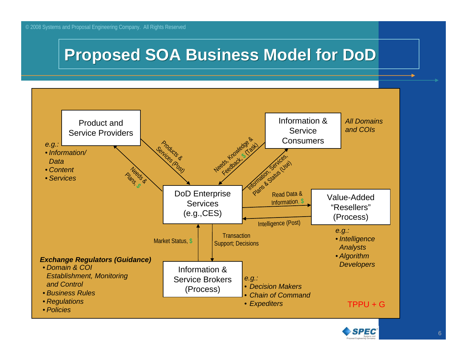## **Proposed SOA Business Model for DoD Proposed SOA Business Model for DoD**